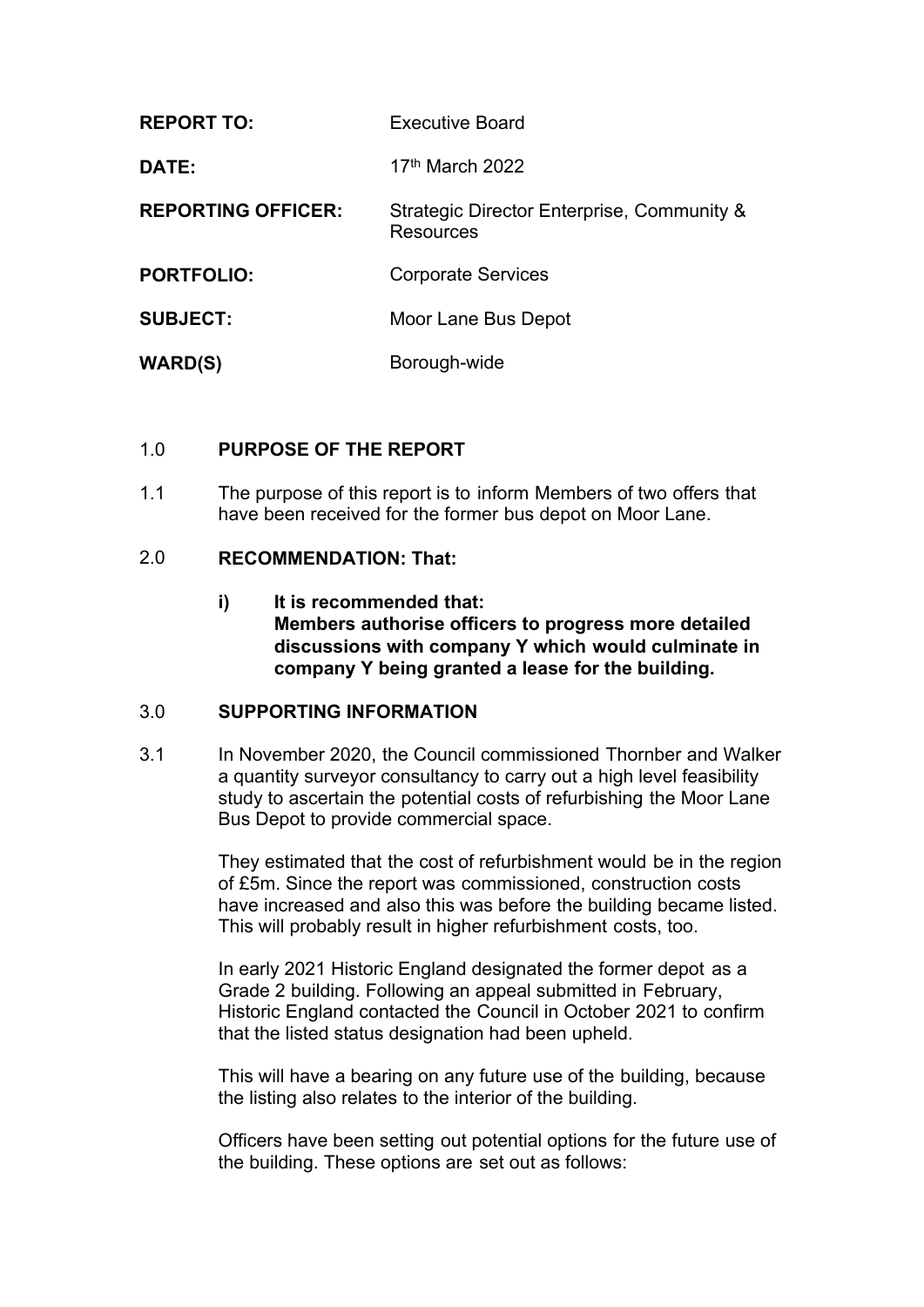| <b>REPORT TO:</b>         | <b>Executive Board</b>                                  |  |
|---------------------------|---------------------------------------------------------|--|
| DATE:                     | 17 <sup>th</sup> March 2022                             |  |
| <b>REPORTING OFFICER:</b> | Strategic Director Enterprise, Community &<br>Resources |  |
| <b>PORTFOLIO:</b>         | <b>Corporate Services</b>                               |  |
| <b>SUBJECT:</b>           | Moor Lane Bus Depot                                     |  |
| <b>WARD(S)</b>            | Borough-wide                                            |  |

### 1.0 **PURPOSE OF THE REPORT**

1.1 The purpose of this report is to inform Members of two offers that have been received for the former bus depot on Moor Lane.

### 2.0 **RECOMMENDATION: That:**

**i) It is recommended that: Members authorise officers to progress more detailed discussions with company Y which would culminate in company Y being granted a lease for the building.**

# 3.0 **SUPPORTING INFORMATION**

3.1 In November 2020, the Council commissioned Thornber and Walker a quantity surveyor consultancy to carry out a high level feasibility study to ascertain the potential costs of refurbishing the Moor Lane Bus Depot to provide commercial space.

> They estimated that the cost of refurbishment would be in the region of £5m. Since the report was commissioned, construction costs have increased and also this was before the building became listed. This will probably result in higher refurbishment costs, too.

In early 2021 Historic England designated the former depot as a Grade 2 building. Following an appeal submitted in February, Historic England contacted the Council in October 2021 to confirm that the listed status designation had been upheld.

This will have a bearing on any future use of the building, because the listing also relates to the interior of the building.

Officers have been setting out potential options for the future use of the building. These options are set out as follows: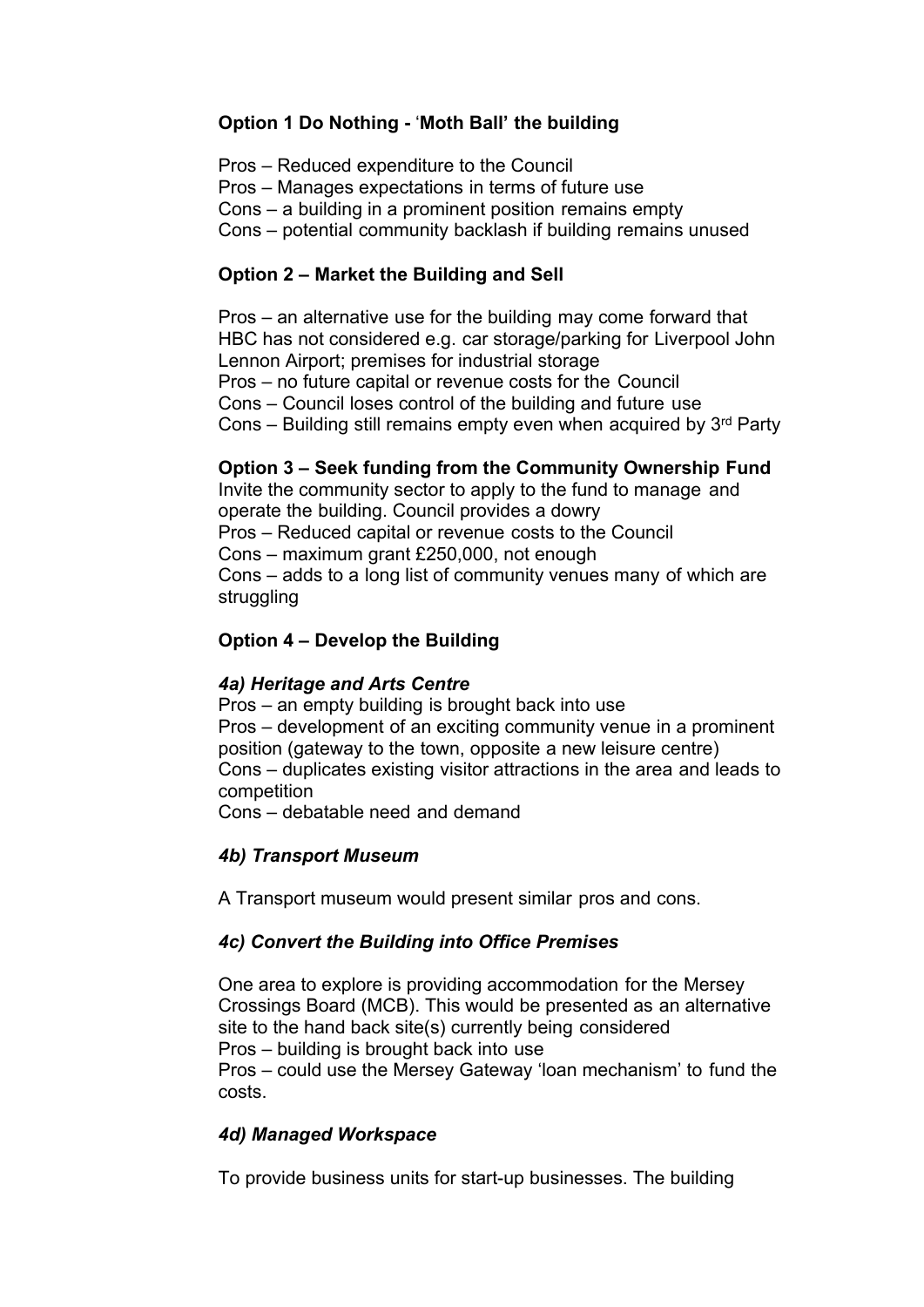# **Option 1 Do Nothing -** '**Moth Ball' the building**

Pros – Reduced expenditure to the Council Pros – Manages expectations in terms of future use Cons – a building in a prominent position remains empty Cons – potential community backlash if building remains unused

# **Option 2 – Market the Building and Sell**

Pros – an alternative use for the building may come forward that HBC has not considered e.g. car storage/parking for Liverpool John Lennon Airport; premises for industrial storage Pros – no future capital or revenue costs for the Council Cons – Council loses control of the building and future use Cons  $-$  Building still remains empty even when acquired by  $3<sup>rd</sup>$  Party

### **Option 3 – Seek funding from the Community Ownership Fund**

Invite the community sector to apply to the fund to manage and operate the building. Council provides a dowry Pros – Reduced capital or revenue costs to the Council Cons – maximum grant £250,000, not enough Cons – adds to a long list of community venues many of which are struggling

# **Option 4 – Develop the Building**

#### *4a) Heritage and Arts Centre*

Pros – an empty building is brought back into use Pros – development of an exciting community venue in a prominent position (gateway to the town, opposite a new leisure centre) Cons – duplicates existing visitor attractions in the area and leads to competition

Cons – debatable need and demand

#### *4b) Transport Museum*

A Transport museum would present similar pros and cons.

#### *4c) Convert the Building into Office Premises*

One area to explore is providing accommodation for the Mersey Crossings Board (MCB). This would be presented as an alternative site to the hand back site(s) currently being considered Pros – building is brought back into use Pros – could use the Mersey Gateway 'loan mechanism' to fund the

costs.

# *4d) Managed Workspace*

To provide business units for start-up businesses. The building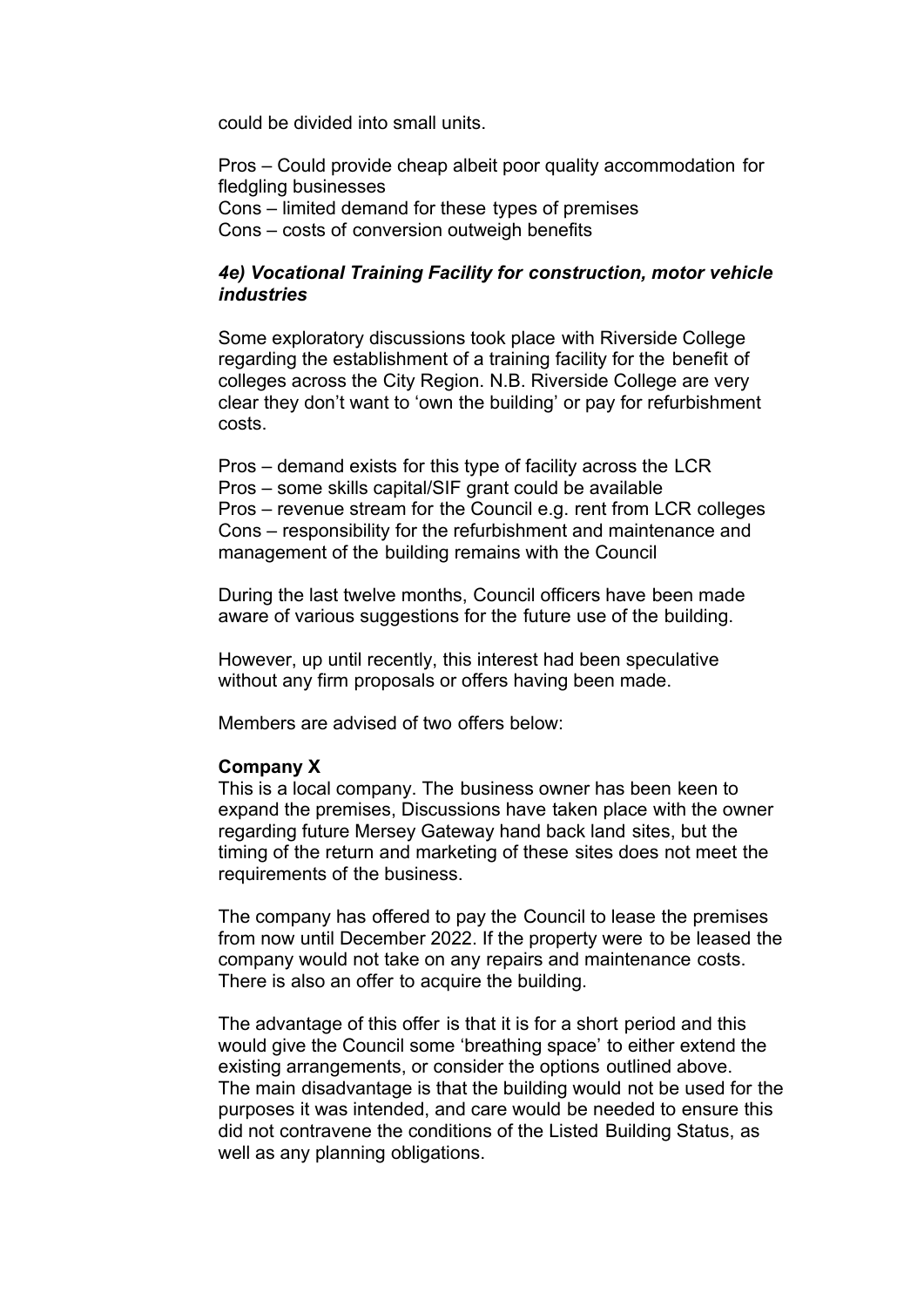could be divided into small units.

Pros – Could provide cheap albeit poor quality accommodation for fledgling businesses Cons – limited demand for these types of premises Cons – costs of conversion outweigh benefits

#### *4e) Vocational Training Facility for construction, motor vehicle industries*

Some exploratory discussions took place with Riverside College regarding the establishment of a training facility for the benefit of colleges across the City Region. N.B. Riverside College are very clear they don't want to 'own the building' or pay for refurbishment costs.

Pros – demand exists for this type of facility across the LCR Pros – some skills capital/SIF grant could be available Pros – revenue stream for the Council e.g. rent from LCR colleges Cons – responsibility for the refurbishment and maintenance and management of the building remains with the Council

During the last twelve months, Council officers have been made aware of various suggestions for the future use of the building.

However, up until recently, this interest had been speculative without any firm proposals or offers having been made.

Members are advised of two offers below:

#### **Company X**

This is a local company. The business owner has been keen to expand the premises, Discussions have taken place with the owner regarding future Mersey Gateway hand back land sites, but the timing of the return and marketing of these sites does not meet the requirements of the business.

The company has offered to pay the Council to lease the premises from now until December 2022. If the property were to be leased the company would not take on any repairs and maintenance costs. There is also an offer to acquire the building.

The advantage of this offer is that it is for a short period and this would give the Council some 'breathing space' to either extend the existing arrangements, or consider the options outlined above. The main disadvantage is that the building would not be used for the purposes it was intended, and care would be needed to ensure this did not contravene the conditions of the Listed Building Status, as well as any planning obligations.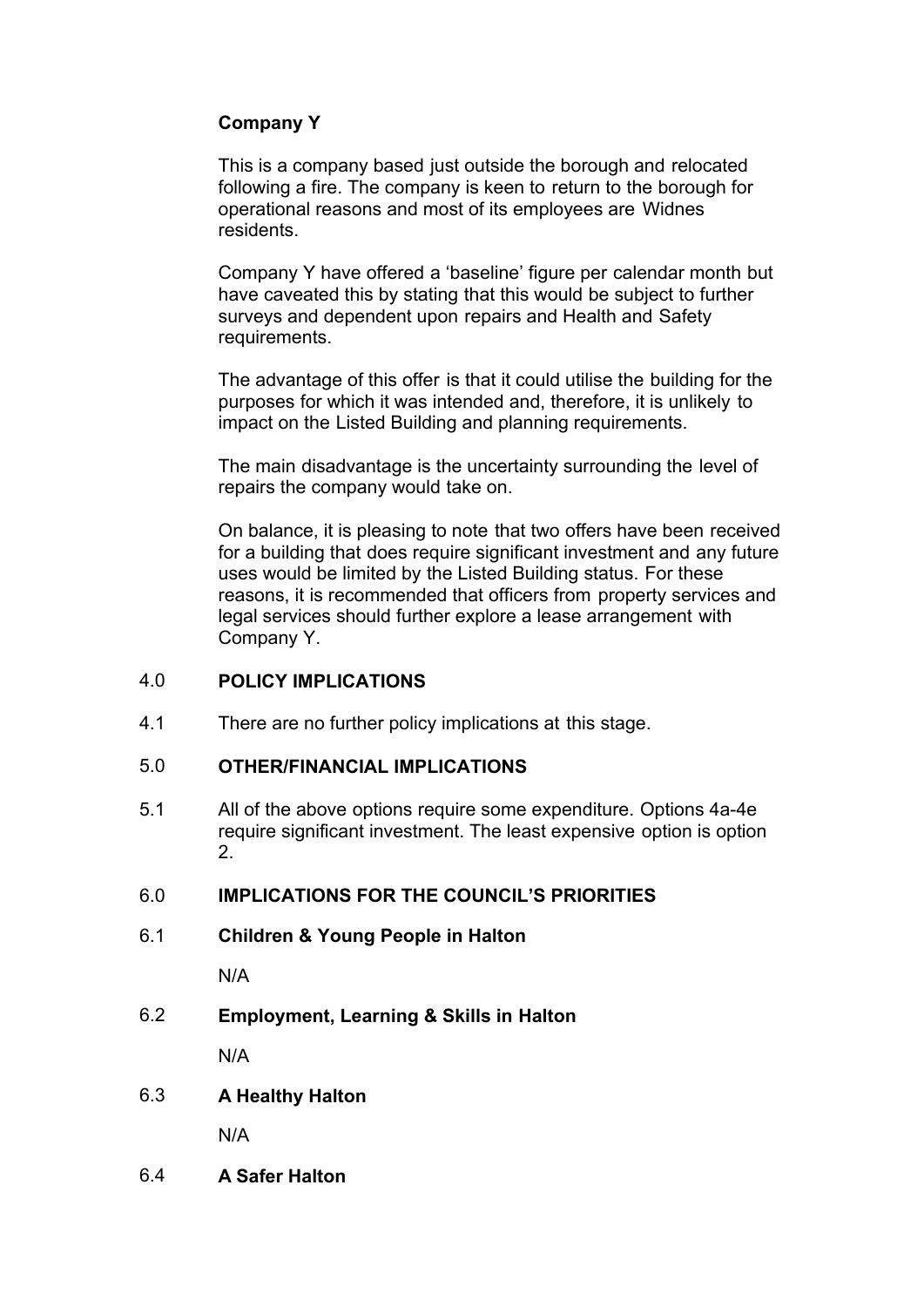# **Company Y**

This is a company based just outside the borough and relocated following a fire. The company is keen to return to the borough for operational reasons and most of its employees are Widnes residents.

Company Y have offered a 'baseline' figure per calendar month but have caveated this by stating that this would be subject to further surveys and dependent upon repairs and Health and Safety requirements.

The advantage of this offer is that it could utilise the building for the purposes for which it was intended and, therefore, it is unlikely to impact on the Listed Building and planning requirements.

The main disadvantage is the uncertainty surrounding the level of repairs the company would take on.

On balance, it is pleasing to note that two offers have been received for a building that does require significant investment and any future uses would be limited by the Listed Building status. For these reasons, it is recommended that officers from property services and legal services should further explore a lease arrangement with Company Y.

#### 4.0 **POLICY IMPLICATIONS**

4.1 There are no further policy implications at this stage.

### 5.0 **OTHER/FINANCIAL IMPLICATIONS**

5.1 All of the above options require some expenditure. Options 4a-4e require significant investment. The least expensive option is option 2.

#### 6.0 **IMPLICATIONS FOR THE COUNCIL'S PRIORITIES**

6.1 **Children & Young People in Halton**

N/A

6.2 **Employment, Learning & Skills in Halton**

N/A

6.3 **A Healthy Halton**

N/A

6.4 **A Safer Halton**